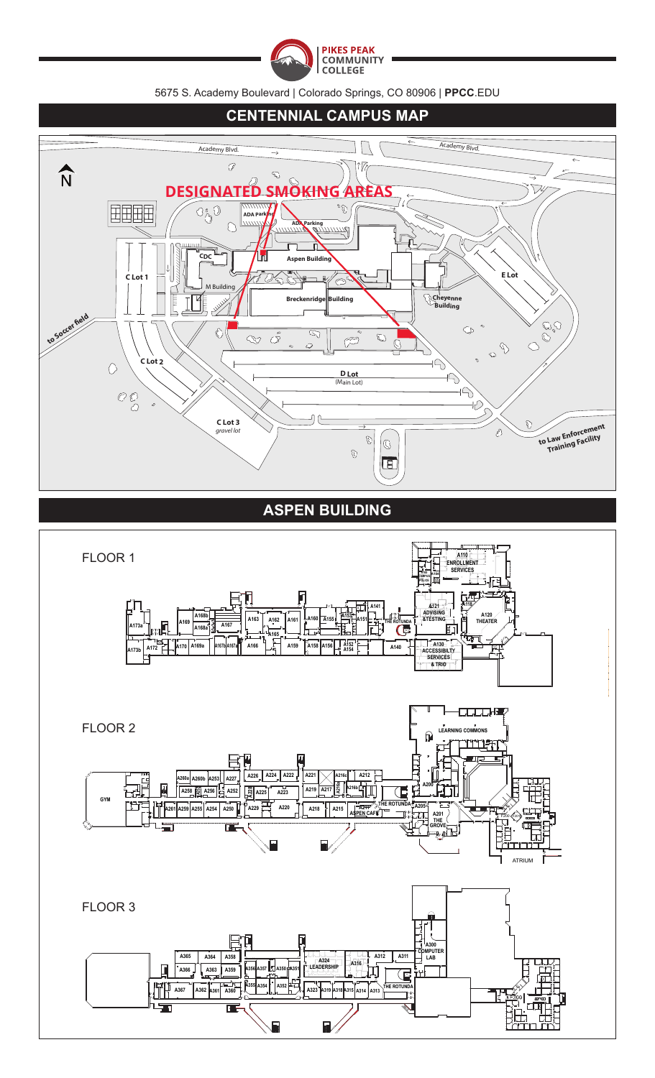

5675 S. Academy Boulevard | Colorado Springs, CO 80906 | **PPCC**.EDU

#### **CENTENNIAL CAMPUS MAP**Academy Blvd.  $\Box$  $\overline{ }$ Academy Blvd.  $\mathscr{D}$  $\hat{N}$  $\sqrt[n]{q}$  $\mathcal{D}$ **DESIGNATED SMOKH** 田田田田  $O_{\bigodot}^{\circ}$ 0 P, **ADA Parking**  $\bigcap$ **ADA Parking** づ **CDC Aspen Building E Lot** TO CH **C Lot 1**  $\mathbf{R}$ فيمي M Building  $\sum\limits_{ }% \left[ \left[ \left[ \left[ 1\right] \left[ 1\right] \right] \right] \right] =% \begin{equation} \sum\limits_{i=1}^{N} &\text{if }i\in\left[ 1,2\right] \end{equation}$ **Cheyenne Breckenridge Building** inc CONCO to Soccer fie  $\mathbb{G}$   $\degree$  $\hat{\mathbb{C}}$  $\overline{\mathbb{S}}$  $\infty$   $\tilde{\mathscr{S}}$  $\mathbb{C}$ F  $\overline{C}$  $\mathbb{Q}$  $\overleftrightarrow{C}$ **C Lot 2**  $\circlearrowright$  $\Rightarrow$ **D Lot** (Main Lot)  $\overleftrightarrow{D}$  $\mathcal{O} \underset{G}{\mathcal{O}}$ łС **C Lot 3**  $\Rightarrow$ **to Law Enforcement Training Facility** *gravel lot*  $\mathbf{\mathcal{D}}$  $|_{\mathbb{G}}$  $\mathbb{G}$  $\boxed{B}$

## **ASPEN BUILDING**